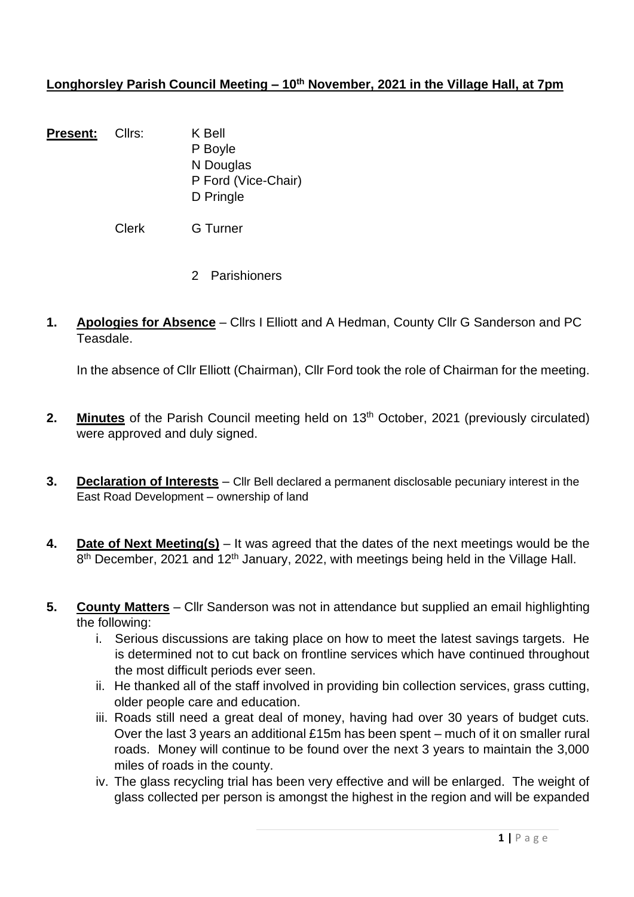### Longhorsley Parish Council Meeting – 10<sup>th</sup> November, 2021 in the Village Hall, at 7pm

Present: Cllrs: K Bell P Boyle N Douglas P Ford (Vice-Chair) D Pringle

Clerk G Turner

- 2 Parishioners
- **1. Apologies for Absence** Cllrs I Elliott and A Hedman, County Cllr G Sanderson and PC Teasdale.

In the absence of Cllr Elliott (Chairman), Cllr Ford took the role of Chairman for the meeting.

- 2. **Minutes** of the Parish Council meeting held on 13<sup>th</sup> October, 2021 (previously circulated) were approved and duly signed.
- **3. Declaration of Interests** Cllr Bell declared a permanent disclosable pecuniary interest in the East Road Development – ownership of land
- **4. Date of Next Meeting(s)** It was agreed that the dates of the next meetings would be the 8<sup>th</sup> December, 2021 and 12<sup>th</sup> January, 2022, with meetings being held in the Village Hall.
- **5. County Matters** Cllr Sanderson was not in attendance but supplied an email highlighting the following:
	- i. Serious discussions are taking place on how to meet the latest savings targets. He is determined not to cut back on frontline services which have continued throughout the most difficult periods ever seen.
	- ii. He thanked all of the staff involved in providing bin collection services, grass cutting, older people care and education.
	- iii. Roads still need a great deal of money, having had over 30 years of budget cuts. Over the last 3 years an additional £15m has been spent – much of it on smaller rural roads. Money will continue to be found over the next 3 years to maintain the 3,000 miles of roads in the county.
	- iv. The glass recycling trial has been very effective and will be enlarged. The weight of glass collected per person is amongst the highest in the region and will be expanded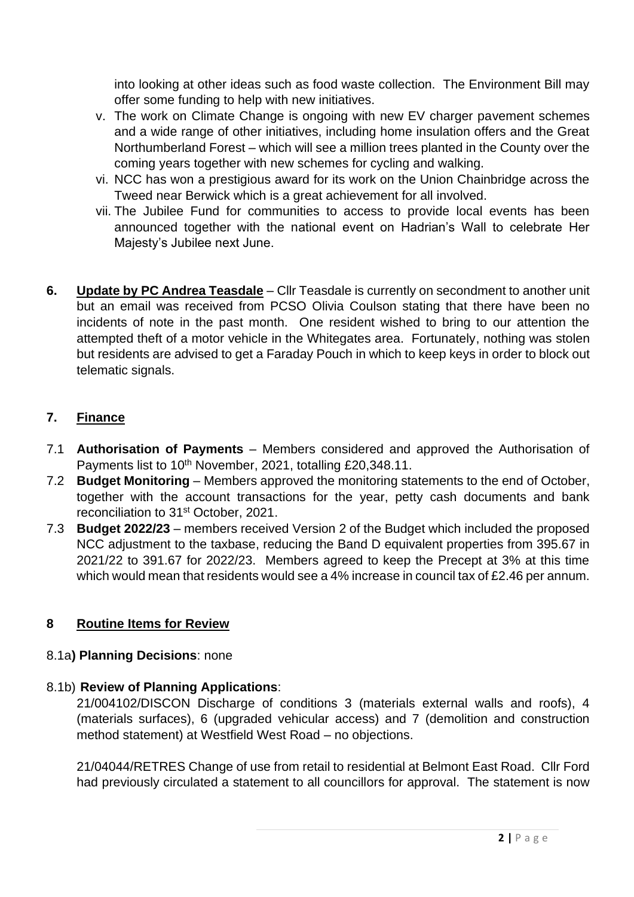into looking at other ideas such as food waste collection. The Environment Bill may offer some funding to help with new initiatives.

- v. The work on Climate Change is ongoing with new EV charger pavement schemes and a wide range of other initiatives, including home insulation offers and the Great Northumberland Forest – which will see a million trees planted in the County over the coming years together with new schemes for cycling and walking.
- vi. NCC has won a prestigious award for its work on the Union Chainbridge across the Tweed near Berwick which is a great achievement for all involved.
- vii. The Jubilee Fund for communities to access to provide local events has been announced together with the national event on Hadrian's Wall to celebrate Her Majesty's Jubilee next June.
- **6. Update by PC Andrea Teasdale** Cllr Teasdale is currently on secondment to another unit but an email was received from PCSO Olivia Coulson stating that there have been no incidents of note in the past month. One resident wished to bring to our attention the attempted theft of a motor vehicle in the Whitegates area. Fortunately, nothing was stolen but residents are advised to get a Faraday Pouch in which to keep keys in order to block out telematic signals.

### **7. Finance**

- 7.1 **Authorisation of Payments** Members considered and approved the Authorisation of Payments list to 10<sup>th</sup> November, 2021, totalling £20,348.11.
- 7.2 **Budget Monitoring** Members approved the monitoring statements to the end of October, together with the account transactions for the year, petty cash documents and bank reconciliation to 31st October, 2021.
- 7.3 **Budget 2022/23** members received Version 2 of the Budget which included the proposed NCC adjustment to the taxbase, reducing the Band D equivalent properties from 395.67 in 2021/22 to 391.67 for 2022/23. Members agreed to keep the Precept at 3% at this time which would mean that residents would see a 4% increase in council tax of £2.46 per annum.

# **8 Routine Items for Review**

### 8.1a**) Planning Decisions**: none

### 8.1b) **Review of Planning Applications**:

21/004102/DISCON Discharge of conditions 3 (materials external walls and roofs), 4 (materials surfaces), 6 (upgraded vehicular access) and 7 (demolition and construction method statement) at Westfield West Road – no objections.

21/04044/RETRES Change of use from retail to residential at Belmont East Road. Cllr Ford had previously circulated a statement to all councillors for approval. The statement is now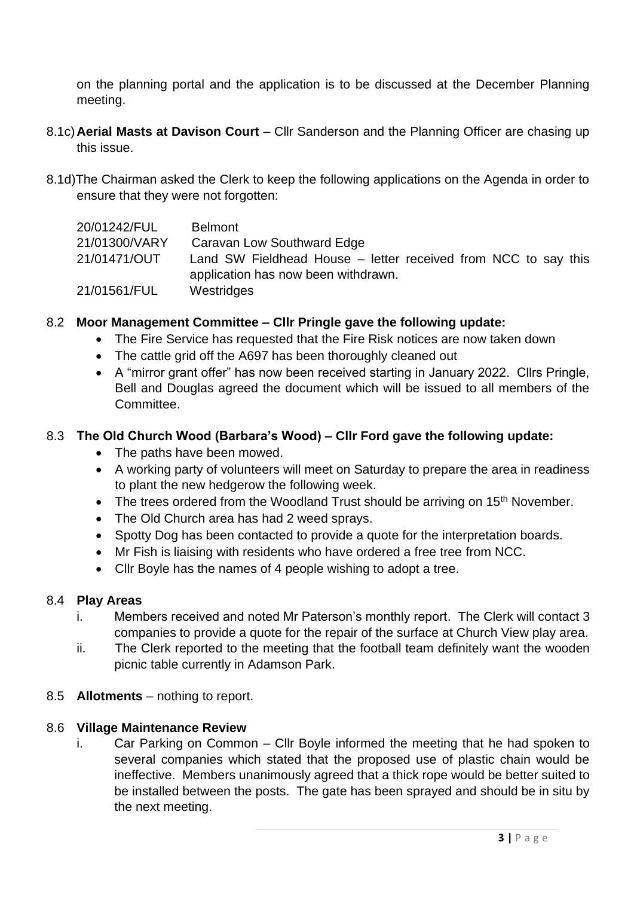on the planning portal and the application is to be discussed at the December Planning meeting.

- 8.1c)**Aerial Masts at Davison Court** Cllr Sanderson and the Planning Officer are chasing up this issue.
- 8.1d)The Chairman asked the Clerk to keep the following applications on the Agenda in order to ensure that they were not forgotten:

| 20/01242/FUL  | <b>Belmont</b>                                                 |
|---------------|----------------------------------------------------------------|
| 21/01300/VARY | Caravan Low Southward Edge                                     |
| 21/01471/OUT  | Land SW Fieldhead House – letter received from NCC to say this |
|               | application has now been withdrawn.                            |
| 21/01561/FUL  | Westridges                                                     |

#### 8.2 **Moor Management Committee – Cllr Pringle gave the following update:**

- The Fire Service has requested that the Fire Risk notices are now taken down
- The cattle grid off the A697 has been thoroughly cleaned out
- A "mirror grant offer" has now been received starting in January 2022. Cllrs Pringle, Bell and Douglas agreed the document which will be issued to all members of the **Committee.**

#### 8.3 **The Old Church Wood (Barbara's Wood) – Cllr Ford gave the following update:**

- The paths have been mowed.
- A working party of volunteers will meet on Saturday to prepare the area in readiness to plant the new hedgerow the following week.
- The trees ordered from the Woodland Trust should be arriving on 15<sup>th</sup> November.
- The Old Church area has had 2 weed sprays.
- Spotty Dog has been contacted to provide a quote for the interpretation boards.
- Mr Fish is liaising with residents who have ordered a free tree from NCC.
- Cllr Boyle has the names of 4 people wishing to adopt a tree.

#### 8.4 **Play Areas**

- i. Members received and noted Mr Paterson's monthly report. The Clerk will contact 3 companies to provide a quote for the repair of the surface at Church View play area.
- ii. The Clerk reported to the meeting that the football team definitely want the wooden picnic table currently in Adamson Park.
- 8.5 **Allotments** nothing to report.

#### 8.6 **Village Maintenance Review**

i. Car Parking on Common – Cllr Boyle informed the meeting that he had spoken to several companies which stated that the proposed use of plastic chain would be ineffective. Members unanimously agreed that a thick rope would be better suited to be installed between the posts. The gate has been sprayed and should be in situ by the next meeting.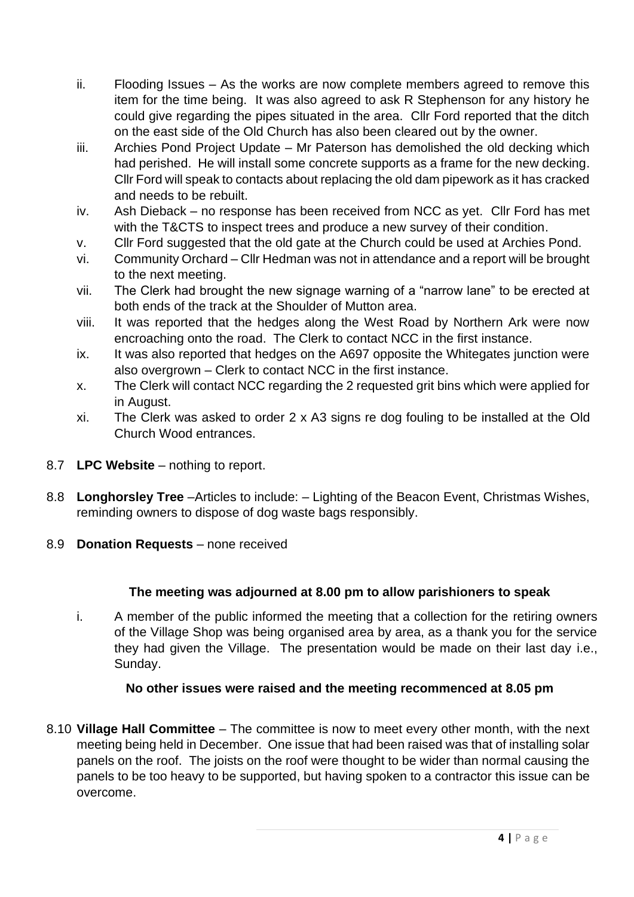- ii. Flooding Issues As the works are now complete members agreed to remove this item for the time being. It was also agreed to ask R Stephenson for any history he could give regarding the pipes situated in the area. Cllr Ford reported that the ditch on the east side of the Old Church has also been cleared out by the owner.
- iii. Archies Pond Project Update Mr Paterson has demolished the old decking which had perished. He will install some concrete supports as a frame for the new decking. Cllr Ford will speak to contacts about replacing the old dam pipework as it has cracked and needs to be rebuilt.
- iv. Ash Dieback no response has been received from NCC as yet. Cllr Ford has met with the T&CTS to inspect trees and produce a new survey of their condition.
- v. Cllr Ford suggested that the old gate at the Church could be used at Archies Pond.
- vi. Community Orchard Cllr Hedman was not in attendance and a report will be brought to the next meeting.
- vii. The Clerk had brought the new signage warning of a "narrow lane" to be erected at both ends of the track at the Shoulder of Mutton area.
- viii. It was reported that the hedges along the West Road by Northern Ark were now encroaching onto the road. The Clerk to contact NCC in the first instance.
- ix. It was also reported that hedges on the A697 opposite the Whitegates junction were also overgrown – Clerk to contact NCC in the first instance.
- x. The Clerk will contact NCC regarding the 2 requested grit bins which were applied for in August.
- xi. The Clerk was asked to order 2 x A3 signs re dog fouling to be installed at the Old Church Wood entrances.
- 8.7 **LPC Website** nothing to report.
- 8.8 **Longhorsley Tree** –Articles to include: Lighting of the Beacon Event, Christmas Wishes, reminding owners to dispose of dog waste bags responsibly.
- 8.9 **Donation Requests** none received

# **The meeting was adjourned at 8.00 pm to allow parishioners to speak**

i. A member of the public informed the meeting that a collection for the retiring owners of the Village Shop was being organised area by area, as a thank you for the service they had given the Village. The presentation would be made on their last day i.e., Sunday.

### **No other issues were raised and the meeting recommenced at 8.05 pm**

8.10 **Village Hall Committee** – The committee is now to meet every other month, with the next meeting being held in December. One issue that had been raised was that of installing solar panels on the roof. The joists on the roof were thought to be wider than normal causing the panels to be too heavy to be supported, but having spoken to a contractor this issue can be overcome.